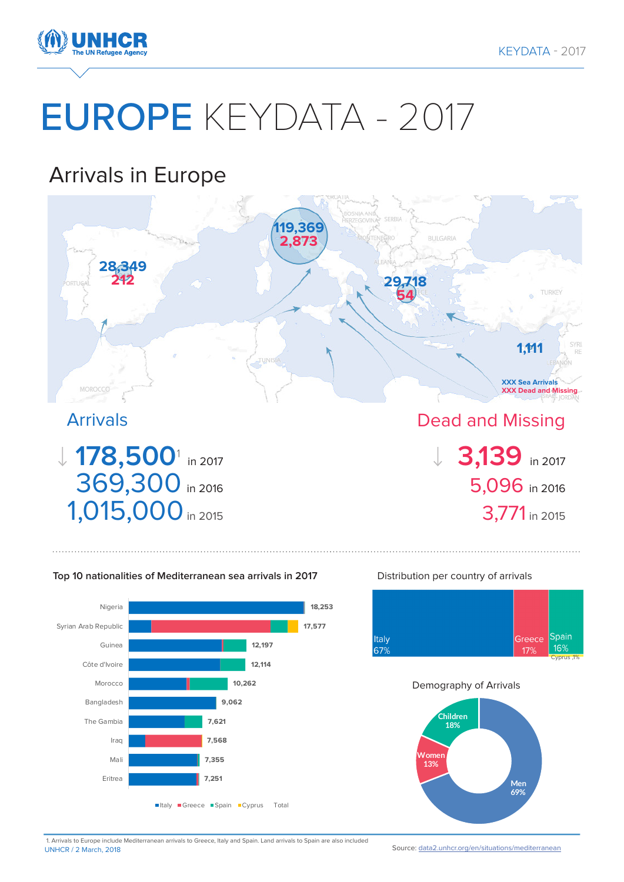

# EUROPE KEYDATA - 2017

# Arrivals in Europe



#### **Top 10 nationalities of Mediterranean sea arrivals in 2017**



#### Distribution per country of arrivals



#### Demography of Arrivals



UNHCR / 2 March, 2018 1. Arrivals to Europe include Mediterranean arrivals to Greece, Italy and Spain. Land arrivals to Spain are also included

Source: [data2.unhcr.org/en/situations/mediterranean](http://data2.unhcr.org/en/situations/mediterranean)